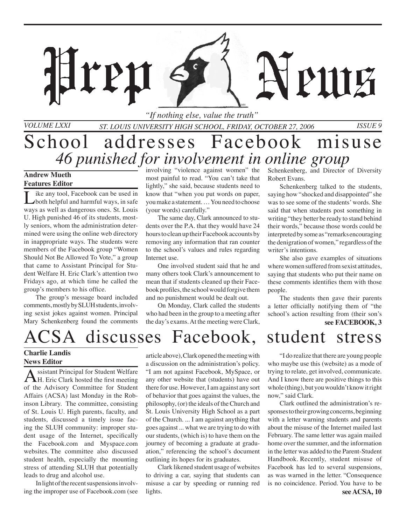*St. Louis University High School, Friday, October 27, 2006 Issue 9 "If nothing else, value the truth"*

MH

## School addresses Facebook misuse *46 punished for involvement in online group*

#### **Andrew Mueth Features Editor**

*Volume LXXI*

ike any tool, Facebook can be used in both helpful and harmful ways, in safe ways as well as dangerous ones. St. Louis U. High punished 46 of its students, mostly seniors, whom the administration determined were using the online web directory in inappropriate ways. The students were members of the Facebook group "Women Should Not Be Allowed To Vote," a group that came to Assistant Principal for Student Welfare H. Eric Clark's attention two Fridays ago, at which time he called the group's members to his office.

ren

The group's message board included comments, mostly by SLUH students, involving sexist jokes against women. Principal Mary Schenkenberg found the comments

involving "violence against women" the most painful to read. "You can't take that lightly," she said, because students need to know that "when you put words on paper, you make a statement. … You need to choose (your words) carefully."

The same day, Clark announced to students over the P.A. that they would have 24 hours to clean up their Facebook accounts by removing any information that ran counter to the school's values and rules regarding Internet use.

One involved student said that he and many others took Clark's announcement to mean that if students cleaned up their Facebook profiles, the school would forgive them and no punishment would be dealt out.

On Monday, Clark called the students who had been in the group to a meeting after the day's exams. At the meeting were Clark, Schenkenberg, and Director of Diversity Robert Evans.

PHIE

Schenkenberg talked to the students, saying how "shocked and disappointed" she was to see some of the students' words. She said that when students post something in writing "they better be ready to stand behind their words," because those words could be interpreted by some as "remarks encouraging the denigration of women," regardless of the writer's intentions.

She also gave examples of situations where women suffered from sexist attitudes, saying that students who put their name on these comments identifies them with those people.

**see FACEBOOK, 3** The students then gave their parents a letter officially notifying them of "the school's action resulting from (their son's

## ACSA discusses Facebook, student stress

### **Charlie Landis News Editor**

Assistant Principal for Student Welfare<br>H. Eric Clark hosted the first meeting of the Advisory Committee for Student Affairs (ACSA) last Monday in the Robinson Library. The committee, consisting of St. Louis U. High parents, faculty, and students, discussed a timely issue facing the SLUH community: improper student usage of the Internet, specifically the Facebook.com and Myspace.com websites. The committee also discussed student health, especially the mounting stress of attending SLUH that potentially leads to drug and alcohol use.

 In light of the recent suspensions involving the improper use of Facebook.com (see article above), Clark opened the meeting with a discussion on the administration's policy. "I am not against Facebook, MySpace, or any other website that (students) have out there for use. However, I am against any sort of behavior that goes against the values, the philosophy, (or) the ideals of the Church and St. Louis University High School as a part of the Church. ... I am against anything that goes against ... what we are trying to do with our students, (which is) to have them on the journey of becoming a graduate at graduation," referencing the school's document outlining its hopes for its graduates.

 Clark likened student usage of websites to driving a car, saying that students can misuse a car by speeding or running red lights.

 "I do realize that there are young people who maybe use this (website) as a mode of trying to relate, get involved, communicate. And I know there are positive things to this whole (thing), but you wouldn't know it right now," said Clark.

**see ACSA, 10** Clark outlined the administration's responses to their growing concerns, beginning with a letter warning students and parents about the misuse of the Internet mailed last February. The same letter was again mailed home over the summer, and the information in the letter was added to the Parent-Student Handbook. Recently, student misuse of Facebook has led to several suspensions, as was warned in the letter. "Consequence is no coincidence. Period. You have to be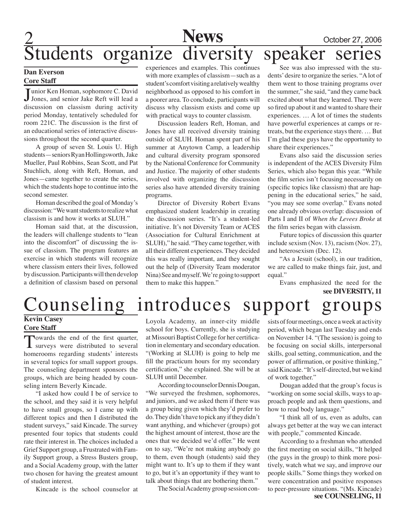## **News** October 27, 2006 Students organize diversity speaker series

#### **Dan Everson Core Staff**

Junior Ken Homan, sophomore C. David<br>Jones, and senior Jake Reft will lead a Tunior Ken Homan, sophomore C. David discussion on classism during activity period Monday, tentatively scheduled for room 221C. The discussion is the first of an educational series of interactive discussions throughout the second quarter.

A group of seven St. Louis U. High students—seniors Ryan Hollingsworth, Jake Mueller, Paul Robbins, Sean Scott, and Pat Stuchlich, along with Reft, Homan, and Jones—came together to create the series, which the students hope to continue into the second semester.

Homan described the goal of Monday's discussion: "We want students to realize what classism is and how it works at SLUH."

Homan said that, at the discussion, the leaders will challenge students to "lean into the discomfort" of discussing the issue of classism. The program features an exercise in which students will recognize where classism enters their lives, followed by discussion. Participants will then develop a definition of classism based on personal

experiences and examples. This continues with more examples of classism—such as a student's comfort visiting a relatively wealthy neighborhood as opposed to his comfort in a poorer area. To conclude, participants will discuss why classism exists and come up with practical ways to counter classism.

Discussion leaders Reft, Homan, and Jones have all received diversity training outside of SLUH. Homan spent part of his summer at Anytown Camp, a leadership and cultural diversity program sponsored by the National Conference for Community and Justice. The majority of other students involved with organizing the discussion series also have attended diversity training programs.

Director of Diversity Robert Evans emphasized student leadership in creating the discussion series. "It's a student-led initiative. It's not Diversity Team or ACES (Association for Cultural Enrichment at SLUH)," he said. "They came together, with all their different experiences. They decided this was really important, and they sought out the help of (Diversity Team moderator Nina) See and myself. We're going to support them to make this happen."

See was also impressed with the students' desire to organize the series. "A lot of them went to those training programs over the summer," she said, "and they came back excited about what they learned. They were so fired up about it and wanted to share their experiences. … A lot of times the students have powerful experiences at camps or retreats, but the experience stays there. … But I'm glad these guys have the opportunity to share their experiences."

Evans also said the discussion series is independent of the ACES Diversity Film Series, which also began this year. "While the film series isn't focusing necessarily on (specific topics like classism) that are happening in the educational series," he said, "you may see some overlap." Evans noted one already obvious overlap: discussion of Parts I and II of *When the Levees Broke* at the film series began with classism.

Future topics of discussion this quarter include sexism (Nov. 13), racism (Nov. 27), and heterosexism (Dec. 12).

"As a Jesuit (school), in our tradition, we are called to make things fair, just, and equal."

Evans emphasized the need for the **see DIVERSITY, 11**

### Counseling introduces support groups **Kevin Casey**

### **Core Staff**

Towards the end of the first quarter,<br>surveys were distributed to several homerooms regarding students' interests in several topics for small support groups. The counseling department sponsors the groups, which are being headed by counseling intern Beverly Kincade.

"I asked how could I be of service to the school, and they said it is very helpful to have small groups, so I came up with different topics and then I distributed the student surveys," said Kincade. The survey presented four topics that students could rate their interest in. The choices included a Grief Support group, a Frustrated with Family Support group, a Stress Busters group, and a Social Academy group, with the latter two chosen for having the greatest amount of student interest.

Kincade is the school counselor at

Loyola Academy, an inner-city middle school for boys. Currently, she is studying at Missouri Baptist College for her certification in elementary and secondary education. "(Working at SLUH) is going to help me fill the practicum hours for my secondary certification," she explained. She will be at SLUH until December.

According to counselor Dennis Dougan, "We surveyed the freshmen, sophomores, and juniors, and we asked them if there was a group being given which they'd prefer to do. They didn't have to pick any if they didn't want anything, and whichever (groups) got the highest amount of interest, those are the ones that we decided we'd offer." He went on to say, "We're not making anybody go to them, even though (students) said they might want to. It's up to them if they want to go, but it's an opportunity if they want to talk about things that are bothering them."

The Social Academy group session con-

sists of four meetings, once a week at activity period, which began last Tuesday and ends on November 14. "(The session) is going to be focusing on social skills, interpersonal skills, goal setting, communication, and the power of affirmation, or positive thinking," said Kincade. "It's self-directed, but we kind of work together."

Dougan added that the group's focus is "working on some social skills, ways to approach people and ask them questions, and how to read body language."

"I think all of us, even as adults, can always get better at the way we can interact with people," commented Kincade.

According to a freshman who attended the first meeting on social skills, "It helped (the guys in the group) to think more positively, watch what we say, and improve our people skills." Some things they worked on were concentration and positive responses to peer-pressure situations. "(Ms. Kincade) **see COUNSELING, 11**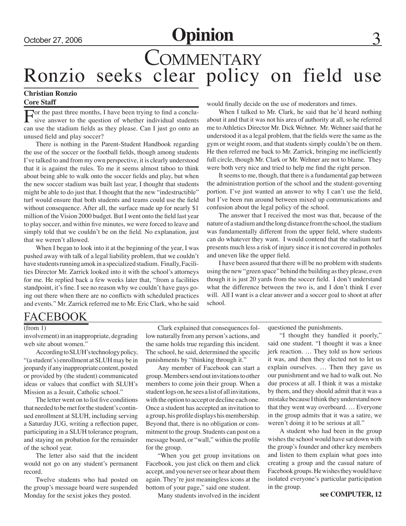## October 27, 2006 **Opinion**

## **COMMENTARY** Ronzio seeks clear policy on field use

### **Christian Ronzio Core Staff**

For the past three months, I have been trying to find a conclu-<br>sive answer to the question of whether individual students can use the stadium fields as they please. Can I just go onto an unused field and play soccer?

There is nothing in the Parent-Student Handbook regarding the use of the soccer or the football fields, though among students I've talked to and from my own perspective, it is clearly understood that it is against the rules. To me it seems almost taboo to think about being able to walk onto the soccer fields and play, but when the new soccer stadium was built last year, I thought that students might be able to do just that. I thought that the new "indestructible" turf would ensure that both students and teams could use the field without consequence. After all, the surface made up for nearly \$1 million of the Vision 2000 budget. But I went onto the field last year to play soccer, and within five minutes, we were forced to leave and simply told that we couldn't be on the field. No explanation, just that we weren't allowed.

When I began to look into it at the beginning of the year, I was pushed away with talk of a legal liability problem, that we couldn't have students running amok in a specialized stadium. Finally, Facilities Director Mr. Zarrick looked into it with the school's attorneys for me. He replied back a few weeks later that, "from a facilities standpoint, it's fine. I see no reason why we couldn't have guys going out there when there are no conflicts with scheduled practices and events." Mr. Zarrick referred me to Mr. Eric Clark, who he said would finally decide on the use of moderators and times.

When I talked to Mr. Clark, he said that he'd heard nothing about it and that it was not his area of authority at all, so he referred me to Athletics Director Mr. Dick Wehner. Mr. Wehner said that he understood it as a legal problem, that the fields were the same as the gym or weight room, and that students simply couldn't be on them. He then referred me back to Mr. Zarrick, bringing me inefficiently full circle, though Mr. Clark or Mr. Wehner are not to blame. They were both very nice and tried to help me find the right person.

It seems to me, though, that there is a fundamental gap between the administration portion of the school and the student-governing portion. I've just wanted an answer to why I can't use the field, but I've been run around between mixed up communications and confusion about the legal policy of the school.

The answer that I received the most was that, because of the nature of a stadium and the long distance from the school, the stadium was fundamentally different from the upper field, where students can do whatever they want. I would contend that the stadium turf presents much less a risk of injury since it is not covered in potholes and uneven like the upper field.

I have been assured that there will be no problem with students using the new "green space" behind the building as they please, even though it is just 20 yards from the soccer field. I don't understand what the difference between the two is, and I don't think I ever will. All I want is a clear answer and a soccer goal to shoot at after school.

### FACEBOOK

involvement) in an inappropriate, degrading web site about women."

According to SLUH's technology policy, "(a student's) enrollment at SLUH may be in jeopardy if any inappropriate content, posted or provided by (the student) communicated ideas or values that conflict with SLUH's Mission as a Jesuit, Catholic school."

The letter went on to list five conditions that needed to be met for the student's continued enrollment at SLUH, including serving a Saturday JUG, writing a reflection paper, participating in a SLUH tolerance program, and staying on probation for the remainder of the school year.

The letter also said that the incident would not go on any student's permanent record.

Twelve students who had posted on the group's message board were suspended Monday for the sexist jokes they posted.

(from 1) Clark explained that consequences follow naturally from any person's actions, and the same holds true regarding this incident. The school, he said, determined the specific punishments by "thinking through it."

> Any member of Facebook can start a group. Members send out invitations to other members to come join their group. When a student logs on, he sees a list of all invitations, with the option to accept or decline each one. Once a student has accepted an invitation to a group, his profile displays his membership. Beyond that, there is no obligation or commitment to the group. Students can post on a message board, or "wall," within the profile for the group.

> "When you get group invitations on Facebook, you just click on them and click accept, and you never see or hear about them again. They're just meaningless icons at the bottom of your page," said one student.

> > Many students involved in the incident

questioned the punishments.

"I thought they handled it poorly," said one student. "I thought it was a knee jerk reaction. … They told us how serious it was, and then they elected not to let us explain ourselves. … Then they gave us our punishment and we had to walk out. No due process at all. I think it was a mistake by them, and they should admit that it was a mistake because I think they understand now that they went way overboard. … Everyone in the group admits that it was a satire, we weren't doing it to be serious at all."

A student who had been in the group wishes the school would have sat down with the group's founder and other key members and listen to them explain what goes into creating a group and the casual nature of Facebook groups. He wishes they would have isolated everyone's particular participation in the group.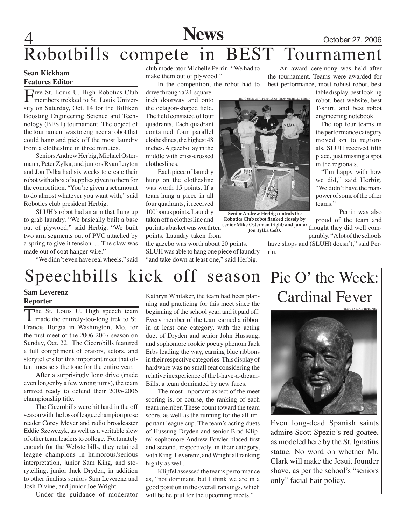

# Robotbills compete in BEST Tournament

#### **Sean Kickham Features Editor**

Five St. Louis U. High Robotics Club<br>
members trekked to St. Louis University on Saturday, Oct. 14 for the Billiken Boosting Engineering Science and Technology (BEST) tournament. The object of the tournament was to engineer a robot that could hang and pick off the most laundry from a clothesline in three minutes.

Seniors Andrew Herbig, Michael Ostermann, Peter Zylka, and juniors Ryan Layton and Jon Tylka had six weeks to create their robot with a box of supplies given to them for the competition. "You're given a set amount to do almost whatever you want with," said Robotics club president Herbig.

SLUH's robot had an arm that flung up to grab laundry. "We basically built a base out of plywood," said Herbig. "We built two arm segments out of PVC attached by a spring to give it tension. ... The claw was made out of coat hanger wire."

"We didn't even have real wheels," said

club moderator Michelle Perrin. "We had to make them out of plywood."

In the competition, the robot had to drive through a 24-square-

inch doorway and onto the octagon-shaped field. The field consisted of four quadrants. Each quadrant contained four parallel clotheslines, the highest 48 inches. A gazebo lay in the middle with criss-crossed clotheslines.

Each piece of laundry hung on the clothesline was worth 15 points. If a team hung a piece in all four quadrants, it received 100 bonus points. Laundry taken off a clothesline and put into a basket was worth ten points. Laundry taken from

the gazebo was worth about 20 points.

SLUH was able to hang one piece of laundry "and take down at least one," said Herbig.



**Senior Andrew Herbig controls the Robotics Club robot flanked closely by senior Mike Osterman (right) and junior Jon Tylka (left).**

An award ceremony was held after the tournament. Teams were awarded for best performance, most robust robot, best

> table display, best looking robot, best website, best T-shirt, and best robot engineering notebook.

 The top four teams in the performance category moved on to regionals. SLUH received fifth place, just missing a spot in the regionals.

 "I'm happy with how we did," said Herbig. "We didn't have the manpower of some of the other teams."

Perrin was also proud of the team and thought they did well comparably. "A lot of the schools

have shops and (SLUH) doesn't," said Perrin.

## Speechbills kick off season

#### **Sam Leverenz Reporter**

The St. Louis U. High speech team made the entirely-too-long trek to St. Francis Borgia in Washington, Mo. for the first meet of the 2006-2007 season on Sunday, Oct. 22. The Cicerobills featured a full compliment of orators, actors, and storytellers for this important meet that oftentimes sets the tone for the entire year.

After a surprisingly long drive (made even longer by a few wrong turns), the team arrived ready to defend their 2005-2006 championship title.

The Cicerobills were hit hard in the off season with the loss of league champion prose reader Corey Meyer and radio broadcaster Eddie Szewczyk, as well as a veritable slew of other team leaders to college. Fortunately enough for the Websterbills, they retained league champions in humorous/serious interpretation, junior Sam King, and storytelling, junior Jack Dryden, in addition to other finalists seniors Sam Leverenz and Josh Divine, and junior Joe Wright.

Under the guidance of moderator

Kathryn Whitaker, the team had been planning and practicing for this meet since the beginning of the school year, and it paid off. Every member of the team earned a ribbon in at least one category, with the acting duet of Dryden and senior John Hussung, and sophomore rookie poetry phenom Jack Erbs leading the way, earning blue ribbons in their respective categories. This display of hardware was no small feat considering the relative inexperience of the I-have-a-dream-Bills, a team dominated by new faces.

The most important aspect of the meet scoring is, of course, the ranking of each team member. These count toward the team score, as well as the running for the all-important league cup. The team's acting duets of Hussung-Dryden and senior Brad Klipfel-sophomore Andrew Fowler placed first and second, respectively, in their category, with King, Leverenz, and Wright all ranking highly as well.

Klipfel assessed the teams performance as, "not dominant, but I think we are in a good position in the overall rankings, which will be helpful for the upcoming meets."

## Pic O' the Week: Cardinal Fever



Even long-dead Spanish saints admire Scott Spezio's red goatee, as modeled here by the St. Ignatius statue. No word on whether Mr. Clark will make the Jesuit founder shave, as per the school's "seniors only" facial hair policy.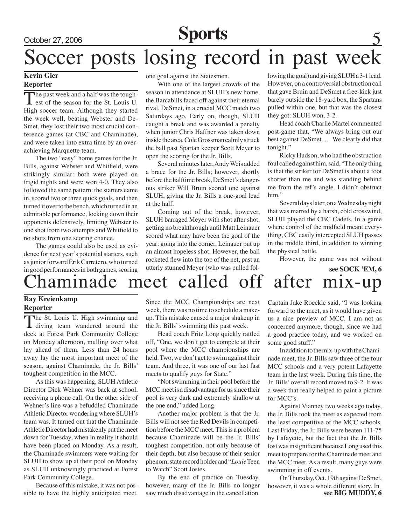# October 27, 2006 **Sports** Soccer posts losing record in past week

#### **Kevin Gier Reporter**

The past week and a half was the tough-<br>est of the season for the St. Louis U. High soccer team. Although they started the week well, beating Webster and De-Smet, they lost their two most crucial conference games (at CBC and Chaminade), and were taken into extra time by an overachieving Marquette team.

The two "easy" home games for the Jr. Bills, against Webster and Whitfield, were strikingly similar: both were played on frigid nights and were won 4-0. They also followed the same pattern: the starters came in, scored two or three quick goals, and then turned it over to the bench, which turned in an admirable performance, locking down their opponents defensively, limiting Webster to one shot from two attempts and Whitfield to no shots from one scoring chance.

The games could also be used as evidence for next year's potential starters, such as junior forward Erik Carretero, who turned in good performances in both games, scoring one goal against the Statesmen.

With one of the largest crowds of the season in attendance at SLUH's new home, the Barcabills faced off against their eternal rival, DeSmet, in a crucial MCC match two Saturdays ago. Early on, though, SLUH caught a break and was awarded a penalty when junior Chris Haffner was taken down inside the area. Cole Grossman calmly struck the ball past Spartan keeper Scott Meyer to open the scoring for the Jr. Bills.

Several minutes later, Andy Weis added a brace for the Jr. Bills; however, shortly before the halftime break, DeSmet's dangerous striker Will Bruin scored one against SLUH, giving the Jr. Bills a one-goal lead at the half.

Coming out of the break, however, SLUH barraged Meyer with shot after shot, getting no breakthrough until Matt Leinauer scored what may have been the goal of the year: going into the corner, Leinauer put up an almost hopeless shot. However, the ball rocketed flew into the top of the net, past an utterly stunned Meyer (who was pulled following the goal) and giving SLUH a 3-1 lead. However, on a controversial obstruction call that gave Bruin and DeSmet a free-kick just barely outside the 18-yard box, the Spartans pulled within one, but that was the closest they got: SLUH won, 3-2.

Head coach Charlie Martel commented post-game that, "We always bring out our best against DeSmet. … We clearly did that tonight."

Ricky Hudson, who had the obstruction foul called against him, said, "The only thing is that the striker for DeSmet is about a foot shorter than me and was standing behind me from the ref's angle. I didn't obstruct him."

Several days later, on a Wednesday night that was marred by a harsh, cold crosswind, SLUH played the CBC Cadets. In a game where control of the midfield meant everything, CBC easily intercepted SLUH passes in the middle third, in addition to winning the physical battle.

However, the game was not without

## haminade meet called off after mix-up **see SOCK 'EM, 6**

### **Ray Kreienkamp Reporter**

The St. Louis U. High swimming and<br>diving team wandered around the deck at Forest Park Community College on Monday afternoon, mulling over what lay ahead of them. Less than 24 hours away lay the most important meet of the season, against Chaminade, the Jr. Bills' toughest competition in the MCC.

As this was happening, SLUH Athletic Director Dick Wehner was back at school, receiving a phone call. On the other side of Wehner's line was a befuddled Chaminade Athletic Director wondering where SLUH's team was. It turned out that the Chaminade Athletic Director had mistakenly put the meet down for Tuesday, when in reality it should have been placed on Monday. As a result, the Chaminade swimmers were waiting for SLUH to show up at their pool on Monday as SLUH unknowingly practiced at Forest Park Community College.

Because of this mistake, it was not possible to have the highly anticipated meet. Since the MCC Championships are next week, there was no time to schedule a makeup. This mistake caused a major shakeup in the Jr. Bills' swimming this past week.

Head coach Fritz Long quickly rattled off, "One, we don't get to compete at their pool where the MCC championships are held. Two, we don't get to swim against their team. And three, it was one of our last fast meets to qualify guys for State."

"Not swimming in their pool before the MCC meet is a disadvantage for us since their pool is very dark and extremely shallow at the one end," added Long.

Another major problem is that the Jr. Bills will not see the Red Devils in competition before the MCC meet. This is a problem because Chaminade will be the Jr. Bills' toughest competition, not only because of their depth, but also because of their senior phenom, state record holder and "*Louie* Teen to Watch" Scott Jostes.

By the end of practice on Tuesday, however, many of the Jr. Bills no longer saw much disadvantage in the cancellation.

Captain Jake Roeckle said, "I was looking forward to the meet, as it would have given us a nice preview of MCC. I am not as concerned anymore, though, since we had a good practice today, and we worked on some good stuff."

In addition to the mix-up with the Chaminade meet, the Jr. Bills saw three of the four MCC schools and a very potent Lafayette team in the last week. During this time, the Jr. Bills' overall record moved to 9-2. It was a week that really helped to paint a picture for MCC's.

Against Vianney two weeks ago today, the Jr. Bills took the meet as expected from the least competitive of the MCC schools. Last Friday, the Jr. Bills were beaten 111-75 by Lafayette, but the fact that the Jr. Bills lost was insignificant because Long used this meet to prepare for the Chaminade meet and the MCC meet. As a result, many guys were swimming in off events.

**see BIG MUDDY, 6** On Thursday, Oct. 19th against DeSmet, however, it was a whole different story. In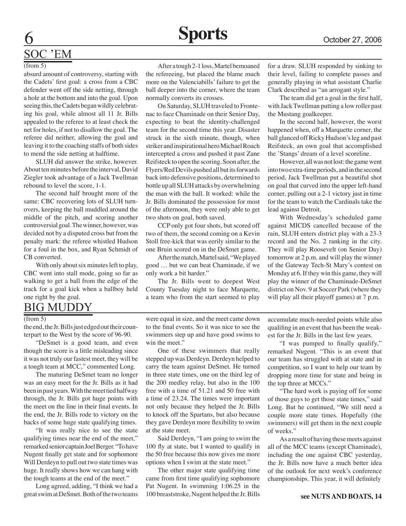## Soc 'EM

#### (from 5)

absurd amount of controversy, starting with the Cadets' first goal: a cross from a CBC defender went off the side netting, through a hole at the bottom and into the goal. Upon seeing this, the Cadets began wildly celebrating his goal, while almost all 11 Jr. Bills appealed to the referee to at least check the net for holes, if not to disallow the goal. The referee did neither, allowing the goal and leaving it to the coaching staffs of both sides to mend the side netting at halftime.

SLUH did answer the strike, however. About ten minutes before the interval, David Ziegler took advantage of a Jack Twellman rebound to level the score, 1-1.

The second half brought more of the same: CBC recovering lots of SLUH turnovers, keeping the ball muddled around the middle of the pitch, and scoring another controversial goal. The winner, however, was decided not by a disputed cross but from the penalty mark: the referee whistled Hudson for a foul in the box, and Ryan Schmidt of CB converted.

With only about six minutes left to play, CBC went into stall mode, going so far as walking to get a ball from the edge of the track for a goal kick when a ballboy held one right by the goal.

### BIG MUDDY

#### (from 5)

the end, the Jr. Bills just edged out their counterpart to the West by the score of 96-90.

"DeSmet is a good team, and even though the score is a little misleading since it was not truly our fastest meet, they will be a tough team at MCC," commented Long.

The maturing DeSmet team no longer was an easy meet for the Jr. Bills as it had been in past years. With the meet tied halfway through, the Jr. Bills got huge points with the meet on the line in their final events. In the end, the Jr. Bills rode to victory on the backs of some huge state qualifying times.

"It was really nice to see the state qualifying times near the end of the meet," remarked senior captain Joel Berger. "To have Nugent finally get state and for sophomore Will Derdeyn to pull out two state times was huge. It really shows how we can hang with the tough teams at the end of the meet."

Long agreed, adding, "I think we had a great swim at DeSmet. Both of the two teams

After a tough 2-1 loss, Martel bemoaned the refereeing, but placed the blame much more on the Valenciabills' failure to get the ball deeper into the corner, where the team normally converts its crosses.

On Saturday, SLUH traveled to Frontenac to face Chaminade on their Senior Day, expecting to beat the identity-challenged team for the second time this year. Disaster struck in the sixth minute, though, when striker and inspirational hero Michael Roach intercepted a cross and pushed it past Zane Reifsteck to open the scoring. Soon after, the Flyers/Red Devils pushed all but its forwards back into defensive positions, determined to bottle up all SLUH attacks by overwhelming the man with the ball. It worked: while the Jr. Bills dominated the possession for most of the afternoon, they were only able to get two shots on goal, both saved.

CCP only got four shots, but scored off two of them, the second coming on a Kevin Stoll free-kick that was eerily similar to the one Bruin scored on in the DeSmet game.

After the match, Martel said, "We played good … but we can beat Chaminade, if we only work a bit harder."

The Jr. Bills went to deepest West County Tuesday night to face Marquette, a team who from the start seemed to play

for a draw. SLUH responded by sinking to their level, failing to complete passes and generally playing in what assistant Charlie Clark described as "an arrogant style."

The team did get a goal in the first half, with Jack Twellman putting a low roller past the Mustang goalkeeper.

In the second half, however, the worst happened when, off a Marquette corner, the ball glanced off Ricky Hudson's leg and past Reifsteck, an own goal that accomplished the 'Stangs' dream of a level scoreline.

However, all was not lost: the game went into two extra-time periods, and in the second period, Jack Twellman put a beautiful shot on goal that curved into the upper left-hand corner, pulling out a 2-1 victory just in time for the team to watch the Cardinals take the lead against Detroit.

With Wednesday's scheduled game against MICDS cancelled because of the rain, SLUH enters district play with a 23-3 record and the No. 2 ranking in the city. They will play Roosevelt (on Senior Day) tomorrow at 2 p.m. and will play the winner of the Gateway Tech-St Mary's contest on Monday at 6. If they win this game, they will play the winner of the Chaminade-DeSmet district on Nov. 9 at Soccer Park (where they will play all their playoff games) at 7 p.m.

were equal in size, and the meet came down to the final events. So it was nice to see the swimmers step up and have good swims to win the meet."

One of these swimmers that really stepped up was Derdeyn. Derdeyn helped to carry the team against DeSmet. He turned in three state times, one on the third leg of the 200 medley relay, but also in the 100 free with a time of 51.21 and 50 free with a time of 23.24. The times were important not only because they helped the Jr. Bills to knock off the Spartans, but also because they gave Derdeyn more flexibility to swim at the state meet.

Said Derdeyn, "I am going to swim the 100 fly at state, but I wanted to qualify in the 50 free because this now gives me more options when I swim at the state meet."

The other major state qualifying time came from first time qualifying sophomore Pat Nugent. In swimming 1:06.25 in the 100 breaststroke, Nugent helped the Jr. Bills

accumulate much-needed points while also qualifing in an event that has been the weakest for the Jr. Bills in the last few years.

"I was pumped to finally qualify," remarked Nugent. "This is an event that our team has struggled with at state and in competition, so I want to help our team by dropping more time for state and being in the top three at MCCs."

"The hard work is paying off for some of those guys to get those state times," said Long. But he continued, "We still need a couple more state times. Hopefully (the swimmers) will get them in the next couple of weeks."

As a result of having these meets against all of the MCC teams (except Chaminade), including the one against CBC yesterday, the Jr. Bills now have a much better idea of the outlook for next week's conference championships. This year, it will definitely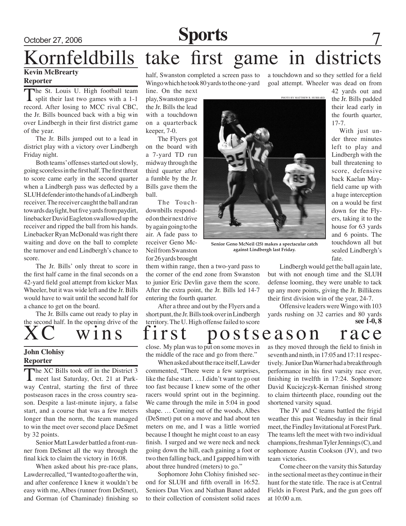October 27, 2006 **Sports**

## Kornfeldbills take first game in districts **Kevin McBrearty**

### **Reporter**

The St. Louis U. High football team<br>split their last two games with a 1-1 record. After losing to MCC rival CBC, the Jr. Bills bounced back with a big win over Lindbergh in their first district game of the year.

The Jr. Bills jumped out to a lead in district play with a victory over Lindbergh Friday night.

Both teams' offenses started out slowly, going scoreless in the first half. The first threat to score came early in the second quarter when a Lindbergh pass was deflected by a SLUH defender into the hands of a Lindbergh receiver. The receiver caught the ball and ran towards daylight, but five yards from paydirt, linebacker David Eagleton swallowed up the receiver and ripped the ball from his hands. Linebacker Ryan McDonald was right there waiting and dove on the ball to complete the turnover and end Lindbergh's chance to score.

The Jr. Bills' only threat to score in the first half came in the final seconds on a 42-yard field goal attempt from kicker Max Wheeler, but it was wide left and the Jr. Bills would have to wait until the second half for a chance to get on the board.

The Jr. Bills came out ready to play in the second half. In the opening drive of the

## **John Clohisy**

#### **Reporter**

The XC Bills took off in the District 3 **L** meet last Saturday, Oct. 21 at Parkway Central, starting the first of three postseason races in the cross country season. Despite a last-minute injury, a false start, and a course that was a few meters longer than the norm, the team managed to win the meet over second place DeSmet by 32 points.

Senior Matt Lawder battled a front-runner from DeSmet all the way through the final kick to claim the victory in 16:08.

When asked about his pre-race plans, Lawder recalled, "I wanted to go after the win, and after conference I knew it wouldn't be easy with me, Albes (runner from DeSmet), and Gorman (of Chaminade) finishing so

half, Swanston completed a screen pass to Wingo which he took 80 yards to the one-yard

line. On the next play, Swanston gave the Jr. Bills the lead with a touchdown on a quarterback keeper, 7-0.

The Flyers got on the board with a 7-yard TD run midway through the third quarter after a fumble by the Jr. Bills gave them the ball.

The Touchdownbills responded on their next drive by again going to the air. A fade pass to receiver Geno Mc-Neil from Swanston for 26 yards brought

them within range, then a two-yard pass to the corner of the end zone from Swanston to junior Eric Devlin gave them the score. After the extra point, the Jr. Bills led 14-7 entering the fourth quarter.

After a three and out by the Flyers and a short punt, the Jr. Bills took over in Lindbergh territory. The U. High offense failed to score

wins first postseason race close. My plan was to put on some moves in the middle of the race and go from there."

When asked about the race itself, Lawder commented, "There were a few surprises, like the false start. … I didn't want to go out too fast because I knew some of the other racers would sprint out in the beginning. We came through the mile in 5:04 in good shape. … Coming out of the woods, Albes (DeSmet) put on a move and had about ten meters on me, and I was a little worried because I thought he might coast to an easy finish. I surged and we were neck and neck going down the hill, each gaining a foot or two then falling back, and I gapped him with about three hundred (meters) to go."

Sophomore John Clohisy finished second for SLUH and fifth overall in 16:52. Seniors Dan Viox and Nathan Banet added to their collection of consistent solid races a touchdown and so they settled for a field goal attempt. Wheeler was dead on from



**Senior Geno McNeil (25) makes a spectacular catch against Lindbergh last Friday.**

42 yards out and the Jr. Bills padded their lead early in the fourth quarter, 17-7.

With just under three minutes left to play and Lindbergh with the ball threatening to score, defensive back Kaelan Mayfield came up with a huge interception on a would be first down for the Flyers, taking it to the house for 63 yards and 6 points. The touchdown all but sealed Lindbergh's fate.

Lindbergh would get the ball again late, but with not enough time and the SLUH defense looming, they were unable to tack up any more points, giving the Jr. Billikens their first division win of the year, 24-7.

Offensive leaders were Wingo with 103 yards rushing on 32 carries and 80 yards **see 1-0, 8**

as they moved through the field to finish in seventh and ninth, in 17:05 and 17:11 respectively. Junior Dan Warner had a breakthrough performance in his first varsity race ever, finishing in twelfth in 17:24. Sophomore David Kuciejczyk-Kernan finished strong to claim thirteenth place, rounding out the shortened varsity squad.

The JV and C teams battled the frigid weather this past Wednesday in their final meet, the Findley Invitational at Forest Park. The teams left the meet with two individual champions, freshman Tyler Jennings (C), and sophomore Austin Cookson (JV), and two team victories.

Come cheer on the varsity this Saturday in the sectional meet as they continue in their hunt for the state title. The race is at Central Fields in Forest Park, and the gun goes off at 10:00 a.m.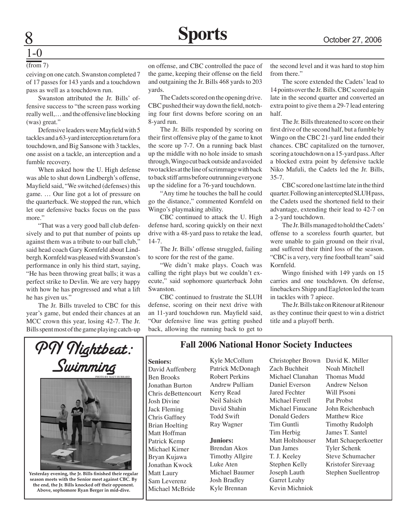#### (from 7)

1-0

ceiving on one catch. Swanston completed 7 of 17 passes for 143 yards and a touchdown pass as well as a touchdown run.

Swanston attributed the Jr. Bills' offensive success to "the screen pass working really well,… and the offensive line blocking (was) great."

Defensive leaders were Mayfield with 5 tackles and a 63-yard interception return for a touchdown, and Big Sansone with 3 tackles, one assist on a tackle, an interception and a fumble recovery.

When asked how the U. High defense was able to shut down Lindbergh's offense, Mayfield said, "We switched (defenses) this game. … Our line got a lot of pressure on the quarterback. We stopped the run, which let our defensive backs focus on the pass more."

"That was a very good ball club defensively and to put that number of points up against them was a tribute to our ball club," said head coach Gary Kornfeld about Lindbergh. Kornfeld was pleased with Swanston's performance in only his third start, saying, "He has been throwing great balls; it was a perfect strike to Devlin. We are very happy with how he has progressed and what a lift he has given us."

The Jr. Bills traveled to CBC for this year's game, but ended their chances at an MCC crown this year, losing 42-7. The Jr. Bills spent most of the game playing catch-up on offense, and CBC controlled the pace of the game, keeping their offense on the field and outgaining the Jr. Bills 468 yards to 203 yards.

The Cadets scored on the opening drive. CBC pushed their way down the field, notching four first downs before scoring on an 8-yard run.

The Jr. Bills responded by scoring on their first offensive play of the game to knot the score up 7-7. On a running back blast up the middle with no hole inside to smash through, Wingo cut back outside and avoided two tackles at the line of scrimmage with back to back stiff arms before outrunning everyone up the sideline for a 76-yard touchdown.

"Any time he touches the ball he could go the distance," commented Kornfeld on Wingo's playmaking ability.

CBC continued to attack the U. High defense hard, scoring quickly on their next drive with a 48-yard pass to retake the lead, 14-7.

The Jr. Bills' offense struggled, failing to score for the rest of the game.

"We didn't make plays. Coach was calling the right plays but we couldn't execute," said sophomore quarterback John Swanston.

CBC continued to frustrate the SLUH defense, scoring on their next drive with an 11-yard touchdown run. Mayfield said, "Our defensive line was getting pushed back, allowing the running back to get to the second level and it was hard to stop him from there."

The score extended the Cadets' lead to 14 points over the Jr. Bills. CBC scored again late in the second quarter and converted an extra point to give them a 29-7 lead entering half.

The Jr. Bills threatened to score on their first drive of the second half, but a fumble by Wingo on the CBC 21-yard line ended their chances. CBC capitalized on the turnover, scoring a touchdown on a 15-yard pass. After a blocked extra point by defensive tackle Niko Mafuli, the Cadets led the Jr. Bills, 35-7.

CBC scored one last time late in the third quarter. Following an intercepted SLUH pass, the Cadets used the shortened field to their advantage, extending their lead to 42-7 on a 2-yard touchdown.

The Jr. Bills managed to hold the Cadets' offense to a scoreless fourth quarter, but were unable to gain ground on their rival, and suffered their third loss of the season. "CBC is a very, very fine football team" said Kornfeld.

Wingo finished with 149 yards on 15 carries and one touchdown. On defense, linebackers Shipp and Eagleton led the team in tackles with 7 apiece.

The Jr. Bills take on Ritenour at Ritenour as they continue their quest to win a district title and a playoff berth.



**Yesterday evening, the Jr. Bills finished their regular season meets with the Senior meet against CBC. By the end, the Jr. Bills knocked off their opponent. Above, sophomore Ryan Berger in mid-dive.**

### **Fall 2006 National Honor Society Inductees**

**Seniors:**

David Auffenberg Ben Brooks Jonathan Burton Chris deBettencourt Josh Divine Jack Fleming Chris Gaffney Brian Hoelting Matt Hoffman Patrick Kemp Michael Kirner Bryan Kujawa Jonathan Kwock Matt Laury Sam Leverenz Michael McBride

Kyle McCollum Patrick McDonagh Robert Perkins Andrew Pulliam Kerry Read Neil Salsich David Shahin Todd Swift Ray Wagner

**Juniors:** Brendan Akos Timothy Allgire Luke Aten Michael Baumer Josh Bradley Kyle Brennan

Christopher Brown David K. Miller Zach Buchheit Michael Clanahan Daniel Everson Jared Fechter Michael Ferrell Michael Finucane Donald Geders Tim Guntli Tim Herbig Matt Holtshouser Dan James T. J. Keeley Stephen Kelly Joseph Lauth Garret Leahy Kevin Michniok

Noah Mitchell Thomas Mudd Andrew Nelson Will Pisoni Pat Probst John Reichenbach Matthew Rice Timothy Rudolph James T. Santel Matt Schaeperkoetter Tyler Schenk Steve Schumacher Kristofer Sirevaag Stephen Suellentrop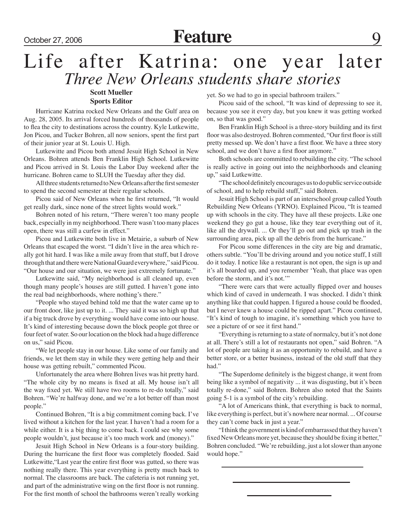### Life after Katrina: one year later *Three New Orleans students share stories* **Scott Mueller**

### **Sports Editor**

Hurricane Katrina rocked New Orleans and the Gulf area on Aug. 28, 2005. Its arrival forced hundreds of thousands of people to flea the city to destinations across the country. Kyle Lutkewitte, Jon Picou, and Tucker Bohren, all now seniors, spent the first part of their junior year at St. Louis U. High.

Lutkewitte and Picou both attend Jesuit High School in New Orleans. Bohren attends Ben Franklin High School. Lutkewitte and Picou arrived in St. Louis the Labor Day weekend after the hurricane. Bohren came to SLUH the Tuesday after they did.

All three students returned to New Orleans after the first semester to spend the second semester at their regular schools.

Picou said of New Orleans when he first returned, "It would get really dark, since none of the street lights would work."

Bohren noted of his return, "There weren't too many people back, especially in my neighborhood. There wasn't too many places open, there was still a curfew in effect."

Picou and Lutkewitte both live in Metairie, a suburb of New Orleans that escaped the worst. "I didn't live in the area which really got hit hard. I was like a mile away from that stuff, but I drove through that and there were National Guard everywhere," said Picou. "Our house and our situation, we were just extremely fortunate."

Lutkewitte said, "My neighborhood is all cleaned up, even though many people's houses are still gutted. I haven't gone into the real bad neighborhoods, where nothing's there."

"People who stayed behind told me that the water came up to our front door, like just up to it. ... They said it was so high up that if a big truck drove by everything would have come into our house. It's kind of interesting because down the block people got three or four feet of water. So our location on the block had a huge difference on us," said Picou.

"We let people stay in our house. Like some of our family and friends, we let them stay in while they were getting help and their house was getting rebuilt," commented Picou.

Unfortunately the area where Bohren lives was hit pretty hard. "The whole city by no means is fixed at all. My house isn't all the way fixed yet. We still have two rooms to re-do totally," said Bohren. "We're halfway done, and we're a lot better off than most people."

Continued Bohren, "It is a big commitment coming back. I've lived without a kitchen for the last year. I haven't had a room for a while either. It is a big thing to come back. I could see why some people wouldn't, just because it's too much work and (money)."

Jesuit High School in New Orleans is a four-story building. During the hurricane the first floor was completely flooded. Said Lutkewitte,"Last year the entire first floor was gutted, so there was nothing really there. This year everything is pretty much back to normal. The classrooms are back. The cafeteria is not running yet, and part of the administrative wing on the first floor is not running. For the first month of school the bathrooms weren't really working

yet. So we had to go in special bathroom trailers."

Picou said of the school, "It was kind of depressing to see it, because you see it every day, but you knew it was getting worked on, so that was good."

Ben Franklin High School is a three-story building and its first floor was also destroyed. Bohren commented, "Our first floor is still pretty messed up. We don't have a first floor. We have a three story school, and we don't have a first floor anymore."

Both schools are committed to rebuilding the city. "The school is really active in going out into the neighborhoods and cleaning up," said Lutkewitte.

"The school definitely encourages us to do public service outside of school, and to help rebuild stuff," said Bohren.

Jesuit High School is part of an interschool group called Youth Rebuilding New Orleans (YRNO). Explained Picou, "It is teamed up with schools in the city. They have all these projects. Like one weekend they go gut a house, like they tear everything out of it, like all the drywall. ... Or they'll go out and pick up trash in the surrounding area, pick up all the debris from the hurricane."

For Picou some differences in the city are big and dramatic, others subtle. "You'll be driving around and you notice stuff, I still do it today. I notice like a restaurant is not open, the sign is up and it's all boarded up, and you remember 'Yeah, that place was open before the storm, and it's not.'"

"There were cars that were actually flipped over and houses which kind of caved in underneath. I was shocked. I didn't think anything like that could happen. I figured a house could be flooded, but I never knew a house could be ripped apart." Picou continued, "It's kind of tough to imagine, it's something which you have to see a picture of or see it first hand."

"Everything is returning to a state of normalcy, but it's not done at all. There's still a lot of restaurants not open," said Bohren. "A lot of people are taking it as an opportunity to rebuild, and have a better store, or a better business, instead of the old stuff that they had."

"The Superdome definitely is the biggest change, it went from being like a symbol of negativity ... it was disgusting, but it's been totally re-done," said Bohren. Bohren also noted that the Saints going 5-1 is a symbol of the city's rebuilding.

"A lot of Americans think, that everything is back to normal, like everything is perfect, but it's nowhere near normal. ... Of course they can't come back in just a year."

"I think the government is kind of embarrassed that they haven't fixed New Orleans more yet, because they should be fixing it better," Bohren concluded. "We're rebuilding, just a lot slower than anyone would hope."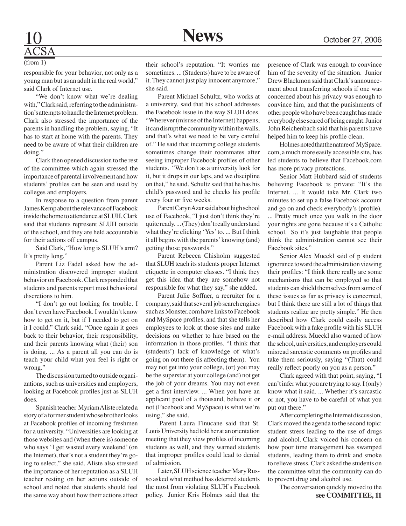10 **News** October 27, 2006

# ACSA

(from 1)

responsible for your behavior, not only as a young man but as an adult in the real world," said Clark of Internet use.

 "We don't know what we're dealing with," Clark said, referring to the administration's attempts to handle the Internet problem. Clark also stressed the importance of the parents in handling the problem, saying, "It has to start at home with the parents. They need to be aware of what their children are doing."

 Clark then opened discussion to the rest of the committee which again stressed the importance of parental involvement and how students' profiles can be seen and used by colleges and employers.

 In response to a question from parent James Kemp about the relevance of Facebook inside the home to attendance at SLUH, Clark said that students represent SLUH outside of the school, and they are held accountable for their actions off campus.

Said Clark, "How long is SLUH's arm? It's pretty long."

 Parent Liz Fadel asked how the administration discovered improper student behavior on Facebook. Clark responded that students and parents report most behavioral discretions to him.

"I don't go out looking for trouble. I don't even have Facebook. I wouldn't know how to get on it, but if I needed to get on it I could," Clark said. "Once again it goes back to their behavior, their responsibility, and their parents knowing what (their) son is doing. ... As a parent all you can do is teach your child what you feel is right or wrong."

 The discussion turned to outside organizations, such as universities and employers, looking at Facebook profiles just as SLUH does.

 Spanish teacher Myriam Aliste related a story of a former student whose brother looks at Facebook profiles of incoming freshmen for a university. "Universities are looking at those websites and (when there is) someone who says 'I get wasted every weekend' (on the Internet), that's not a student they're going to select," she said. Aliste also stressed the importance of her reputation as a SLUH teacher resting on her actions outside of school and noted that students should feel the same way about how their actions affect

their school's reputation. "It worries me sometimes. ... (Students) have to be aware of it. They cannot just play innocent anymore," she said.

 Parent Michael Schultz, who works at a university, said that his school addresses the Facebook issue in the way SLUH does. "Wherever (misuse of the Internet) happens, it can disrupt the community within the walls, and that's what we need to be very careful of." He said that incoming college students sometimes change their roommates after seeing improper Facebook profiles of other students. "We don't as a university look for it, but it drops in our laps, and we discipline on that," he said. Schultz said that he has his child's password and he checks his profile every four or five weeks.

Parent Caryn Azar said about high school use of Facebook, "I just don't think they're quite ready. ... (They) don't really understand what they're clicking 'Yes' to. ... But I think it all begins with the parents' knowing (and) getting those passwords."

 Parent Rebecca Chisholm suggested that SLUH teach its students proper Internet etiquette in computer classes. "I think they get this idea that they are somehow not responsible for what they say," she added.

 Parent Julie Soffner, a recruiter for a company, said that several job search engines such as Monster.com have links to Facebook and MySpace profiles, and that she tells her employees to look at those sites and make decisions on whether to hire based on the information in those profiles. "I think that (students') lack of knowledge of what's going on out there (is affecting them). You may not get into your college, (or) you may be the superstar at your college (and) not get the job of your dreams. You may not even get a first interview. ... When you have an applicant pool of a thousand, believe it or not (Facebook and MySpace) is what we're using," she said.

 Parent Laura Finucane said that St. Louis University had told her at an orientation meeting that they view profiles of incoming students as well, and they warned students that improper profiles could lead to denial of admission.

 Later, SLUH science teacher Mary Russo asked what method has deterred students the most from violating SLUH's Facebook policy. Junior Kris Holmes said that the presence of Clark was enough to convince him of the severity of the situation. Junior Drew Blackmon said that Clark's announcement about transferring schools if one was concerned about his privacy was enough to convince him, and that the punishments of other people who have been caught has made everybody else scared of being caught. Junior John Reichenbach said that his parents have helped him to keep his profile clean.

Holmes noted that the nature of MySpace. com, a much more easily accessible site, has led students to believe that Facebook.com has more privacy protections.

 Senior Matt Hubbard said of students believing Facebook is private: "It's the Internet. ... It would take Mr. Clark two minutes to set up a false Facebook account and go on and check everybody's (profile). ... Pretty much once you walk in the door your rights are gone because it's a Catholic school. So it's just laughable that people think the administration cannot see their Facebook sites."

 Senior Alex Mueckl said of p student ignorance toward the administration viewing their profiles: "I think there really are some mechanisms that can be employed so that students can shield themselves from some of these issues as far as privacy is concerned, but I think there are still a lot of things that students realize are pretty simple." He then described how Clark could easily access Facebook with a fake profile with his SLUH e-mail address. Mueckl also warned of how the school, universities, and employers could misread sarcastic comments on profiles and take them seriously, saying "(That) could really reflect poorly on you as a person."

 Clark agreed with that point, saying, "I can't infer what you are trying to say. I (only) know what it said. ... Whether it's sarcastic or not, you have to be careful of what you put out there."

 After completing the Internet discussion, Clark moved the agenda to the second topic: student stress leading to the use of drugs and alcohol. Clark voiced his concern on how poor time management has swamped students, leading them to drink and smoke to relieve stress. Clark asked the students on the committee what the community can do to prevent drug and alcohol use.

 The conversation quickly moved to the **see COMMITTEE, 11**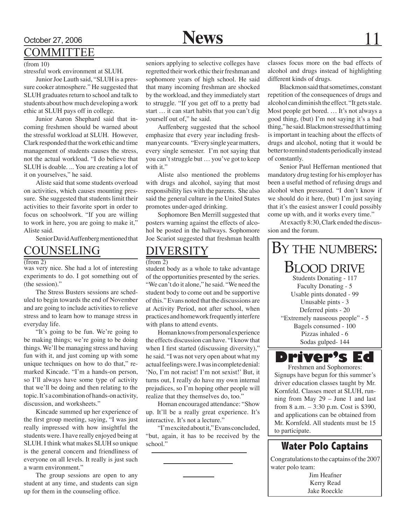## October 27, 2006 **News** 11

### COMMITTEE

stressful work environment at SLUH.

Junior Joe Lauth said, "SLUH is a pressure cooker atmosphere." He suggested that SLUH graduates return to school and talk to students about how much developing a work ethic at SLUH pays off in college.

 Junior Aaron Shephard said that incoming freshmen should be warned about the stressful workload at SLUH. However, Clark responded that the work ethic and time management of students causes the stress, not the actual workload. "I do believe that SLUH is doable. ... You are creating a lot of it on yourselves," he said.

Aliste said that some students overload on activities, which causes mounting pressure. She suggested that students limit their activities to their favorite sport in order to focus on schoolwork. "If you are willing to work in here, you are going to make it," Aliste said.

Senior David Auffenberg mentioned that

### Counseling

(from 2)

was very nice. She had a lot of interesting experiments to do. I got something out of (the session)."

The Stress Busters sessions are scheduled to begin towards the end of November and are going to include activities to relieve stress and to learn how to manage stress in everyday life.

"It's going to be fun. We're going to be making things; we're going to be doing things. We'll be managing stress and having fun with it, and just coming up with some unique techniques on how to do that," remarked Kincade. "I'm a hands-on person, so I'll always have some type of activity that we'll be doing and then relating to the topic. It's a combination of hands-on activity, discussion, and worksheets."

Kincade summed up her experience of the first group meeting, saying, "I was just really impressed with how insightful the students were. I have really enjoyed being at SLUH. I think what makes SLUH so unique is the general concern and friendliness of everyone on all levels. It really is just such a warm environment."

The group sessions are open to any student at any time, and students can sign up for them in the counseling office.

seniors applying to selective colleges have regretted their work ethic their freshman and sophomore years of high school. He said that many incoming freshman are shocked by the workload, and they immediately start to struggle. "If you get off to a pretty bad start … it can start habits that you can't dig yourself out of," he said.

Auffenberg suggested that the school emphasize that every year including freshman year counts. "Every single year matters, every single semester. I'm not saying that you can't struggle but … you've got to keep with it."

Aliste also mentioned the problems with drugs and alcohol, saying that most responsibility lies with the parents. She also said the general culture in the United States promotes under-aged drinking.

Sophomore Ben Merrill suggested that posters warning against the effects of alcohol be posted in the hallways. Sophomore Joe Scariot suggested that freshman health

### DIVERSITY

 $(from 2)$ 

student body as a whole to take advantage of the opportunities presented by the series. "We can't do it alone," he said. "We need the student body to come out and be supportive of this." Evans noted that the discussions are at Activity Period, not after school, when practices and homework frequently interfere with plans to attend events.

Homan knows from personal experience the effects discussion can have. "I know that when I first started (discussing diversity)," he said. "I was not very open about what my actual feelings were. I was in complete denial: 'No, I'm not racist! I'm not sexist!' But, it turns out, I really do have my own internal prejudices, so I'm hoping other people will realize that they themselves do, too."

Homan encouraged attendance: "Show up. It'll be a really great experience. It's interactive. It's not a lecture."

"I'm excited about it," Evans concluded, "but, again, it has to be received by the school."

 $(\text{from } 10)$  seniors applying to selective colleges have classes focus more on the bad effects of alcohol and drugs instead of highlighting different kinds of drugs.

> Blackmon said that sometimes, constant repetition of the consequences of drugs and alcohol can diminish the effect. "It gets stale. Most people get bored. … It's not always a good thing, (but) I'm not saying it's a bad thing," he said. Blackmon stressed that timing is important in teaching about the effects of drugs and alcohol, noting that it would be better to remind students periodically instead of constantly.

> Senior Paul Heffernan mentioned that mandatory drug testing for his employer has been a useful method of refusing drugs and alcohol when pressured. "I don't know if we should do it here, (but) I'm just saying that it's the easiest answer I could possibly come up with, and it works every time."

> At exactly 8:30, Clark ended the discussion and the forum.



Signups have begun for this summer's driver education classes taught by Mr. Kornfeld. Classes meet at SLUH, running from May 29 – June 1 and last from 8 a.m. – 3:30 p.m. Cost is \$390, and applications can be obtained from Mr. Kornfeld. All students must be 15 to participate.

### **Water Polo Captains**

Congratulations to the captains of the 2007 water polo team:

> Jim Heafner Kerry Read Jake Roeckle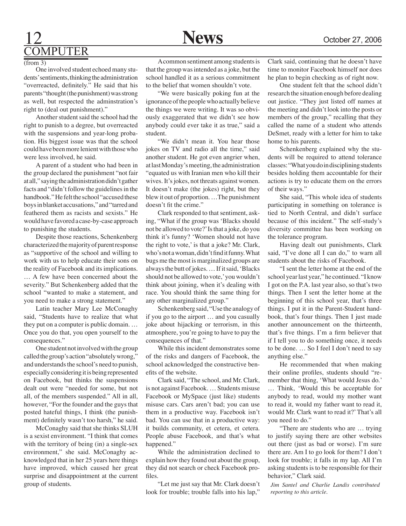## 12 **News** October 27, 2006 **OMPUTER**

(from 3)

One involved student echoed many students' sentiments, thinking the administration "overreacted, definitely." He said that his parents "thought (the punishment) was strong as well, but respected the adminstration's right to (deal out punishment)."

Another student said the school had the right to punish to a degree, but overreacted with the suspensions and year-long probation. His biggest issue was that the school could have been more lenient with those who were less involved, he said.

A parent of a student who had been in the group declared the punishment "not fair at all," saying the administration didn't gather facts and "didn't follow the guidelines in the handbook." He felt the school "accused these boys in blanket accusations," and "tarred and feathered them as racists and sexists." He would have favored a case-by-case approach to punishing the students.

Despite those reactions, Schenkenberg characterized the majority of parent response as "supportive of the school and willing to work with us to help educate their sons on the reality of Facebook and its implications. … A few have been concerned about the severity." But Schenkenberg added that the school "wanted to make a statement, and you need to make a strong statement."

Latin teacher Mary Lee McConaghy said, "Students have to realize that what they put on a computer is public domain. … Once you do that, you open yourself to the consequences."

One student not involved with the group called the group's action "absolutely wrong," and understands the school's need to punish, especially considering it is being represented on Facebook, but thinks the suspensions dealt out were "needed for some, but not all, of the members suspended." All in all, however, "For the founder and the guys that posted hateful things, I think (the punishment) definitely wasn't too harsh," he said.

McConaghy said that she thinks SLUH is a sexist environment. "I think that comes with the territory of being (in) a single-sex environment," she said. McConaghy acknowledged that in her 25 years here things have improved, which caused her great surprise and disappointment at the current group of students.

A common sentiment among students is that the group was intended as a joke, but the school handled it as a serious commitment to the belief that women shouldn't vote.

"We were basically poking fun at the ignorance of the people who actually believe the things we were writing. It was so obviously exaggerated that we didn't see how anybody could ever take it as true," said a student.

"We didn't mean it. You hear those jokes on TV and radio all the time," said another student. He got even angrier when, at last Monday's meeting, the administration "equated us with Iranian men who kill their wives. It's jokes, not threats against women. It doesn't make (the jokes) right, but they blew it out of proportion. …The punishment doesn't fit the crime."

Clark responded to that sentiment, asking, "What if the group was 'Blacks should not be allowed to vote?' Is that a joke, do you think it's funny? 'Women should not have the right to vote,' is that a joke? Mr. Clark, who's not a woman, didn't find it funny. What bugs me the most is marginalized groups are always the butt of jokes. … If it said, 'Blacks should not be allowed to vote,' you wouldn't think about joining, when it's dealing with race. You should think the same thing for any other marginalized group."

Schenkenberg said, "Use the analogy of if you go to the airport … and you casually joke about hijacking or terrorism, in this atmosphere, you're going to have to pay the consequences of that."

While this incident demonstrates some of the risks and dangers of Facebook, the school acknowledged the constructive benefits of the website.

Clark said, "The school, and Mr. Clark, is not against Facebook. … Students misuse Facebook or MySpace (just like) students misuse cars. Cars aren't bad; you can use them in a productive way. Facebook isn't bad. You can use that in a productive way: it builds community, et cetera, et cetera. People abuse Facebook, and that's what happened."

While the administration declined to explain how they found out about the group, they did not search or check Facebook profiles.

"Let me just say that Mr. Clark doesn't look for trouble; trouble falls into his lap,"

Clark said, continuing that he doesn't have time to monitor Facebook himself nor does he plan to begin checking as of right now.

One student felt that the school didn't research the situation enough before dealing out justice. "They just listed off names at the meeting and didn't look into the posts or members of the group," recalling that they called the name of a student who attends DeSmet, ready with a letter for him to take home to his parents.

Schenkenberg explained why the students will be required to attend tolerance classes: "What you do in disciplining students besides holding them accountable for their actions is try to educate them on the errors of their ways."

She said, "This whole idea of students participating in something on tolerance is tied to North Central, and didn't surface because of this incident." The self-study's diversity committee has been working on the tolerance program.

Having dealt out punishments, Clark said, "I've done all I can do," to warn all students about the risks of Facebook.

"I sent the letter home at the end of the school year last year," he continued. "I know I got on the P.A. last year also, so that's two things. Then I sent the letter home at the beginning of this school year, that's three things. I put it in the Parent-Student handbook, that's four things. Then I just made another announcement on the thirteenth, that's five things. I'm a firm believer that if I tell you to do something once, it needs to be done. … So I feel I don't need to say anything else."

He recommended that when making their online profiles, students should "remember that thing, 'What would Jesus do.' … Think, 'Would this be acceptable for anybody to read, would my mother want to read it, would my father want to read it, would Mr. Clark want to read it?' That's all you need to do."

"There are students who are … trying to justify saying there are other websites out there (just as bad or worse). I'm sure there are. Am I to go look for them? I don't look for trouble; it falls in my lap. All I'm asking students is to be responsible for their behavior," Clark said.

*Jim Santel and Charlie Landis contributed reporting to this article.*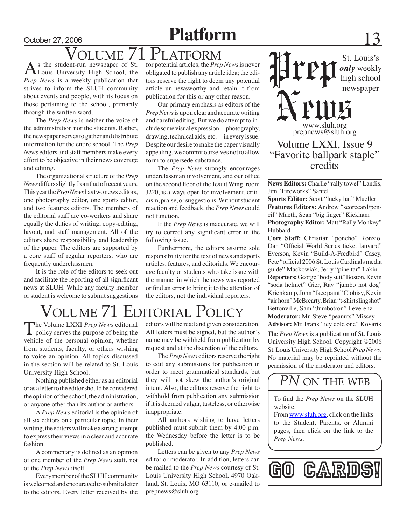## October 27, 2006 **Platform** 13

## $\sum_{\text{S}}$  the student-run newspaper of St. for potential articles, the *Prep*

As the student-run newspaper of St.<br>Louis University High School, the *Prep News* is a weekly publication that strives to inform the SLUH community about events and people, with its focus on those pertaining to the school, primarily through the written word.

The *Prep News* is neither the voice of the administration nor the students. Rather, the newspaper serves to gather and distribute information for the entire school. The *Prep News* editors and staff members make every effort to be objective in their news coverage and editing.

The organizational structure of the *Prep News* differs slightly from that of recent years. This year the *Prep News* has two news editors, one photography editor, one sports editor, and two features editors. The members of the editorial staff are co-workers and share equally the duties of writing, copy-editing, layout, and staff management. All of the editors share responsibility and leadership of the paper. The editors are supported by a core staff of regular reporters, who are frequently underclassmen.

It is the role of the editors to seek out and facilitate the reporting of all significant news at SLUH. While any faculty member or student is welcome to submit suggestions for potential articles, the *Prep News* is never obligated to publish any article idea; the editors reserve the right to deem any potential article un-newsworthy and retain it from publication for this or any other reason.

Our primary emphasis as editors of the *Prep News* is upon clear and accurate writing and careful editing. But we do attempt to include some visual expression—photography, drawing, technical aids, etc.—in every issue. Despite our desire to make the paper visually appealing, we commit ourselves not to allow form to supersede substance.

The *Prep News* strongly encourages underclassman involvement, and our office on the second floor of the Jesuit Wing, room J220, is always open for involvement, criticism, praise, or suggestions. Without student reaction and feedback, the *Prep News* could not function.

If the *Prep News* is inaccurate, we will try to correct any significant error in the following issue.

Furthermore, the editors assume sole responsibility for the text of news and sports articles, features, and editorials. We encourage faculty or students who take issue with the manner in which the news was reported or find an error to bring it to the attention of the editors, not the individual reporters.

# $\sqrt{\text{OLUME 71}}$  EDITORIAL POLICY

The Volume LXXI *Prep News* editorial<br>policy serves the purpose of being the vehicle of the personal opinion, whether from students, faculty, or others wishing to voice an opinion. All topics discussed in the section will be related to St. Louis University High School.

Nothing published either as an editorial or as a letter to the editor should be considered the opinion of the school, the administration, or anyone other than its author or authors.

A *Prep News* editorial is the opinion of all six editors on a particular topic. In their writing, the editors will make a strong attempt to express their views in a clear and accurate fashion.

A commentary is defined as an opinion of one member of the *Prep News* staff, not of the *Prep News* itself.

Every member of the SLUH community is welcomed and encouraged to submit a letter to the editors. Every letter received by the editors will be read and given consideration. All letters must be signed, but the author's name may be withheld from publication by request and at the discretion of the editors.

The *Prep News* editors reserve the right to edit any submissions for publication in order to meet grammatical standards, but they will not skew the author's original intent. Also, the editors reserve the right to withhold from publication any submission if it is deemed vulgar, tasteless, or otherwise inappropriate.

All authors wishing to have letters published must submit them by 4:00 p.m. the Wednesday before the letter is to be published.

Letters can be given to any *Prep News* editor or moderator. In addition, letters can be mailed to the *Prep News* courtesy of St. Louis University High School, 4970 Oakland, St. Louis, MO 63110, or e-mailed to prepnews@sluh.org

St. Louis's *only* weekly high school newspaper

www.sluh.org prepnews@sluh.org

### Volume LXXI, Issue 9 "Favorite ballpark staple" credits

**News Editors:** Charlie "rally towel" Landis, Jim "Fireworks" Santel

**Sports Editor:** Scott "lucky hat" Mueller **Features Editors:** Andrew "scorecard/pencil" Mueth, Sean "big finger" Kickham **Photography Editor:** Matt "Rally Monkey" Hubbard

**Core Staff:** Christian "poncho" Ronzio, Dan "Official World Series ticket lanyard" Everson, Kevin "Build-A-Fredbird" Casey, Pete "official 2006 St. Louis Cardinals media guide" Mackowiak, Jerry "pine tar" Lakin **Reporters:** George "body suit" Boston, Kevin "soda helmet" Gier, Ray "jumbo hot dog" Krienkamp, John "face paint" Clohisy, Kevin "air horn" McBrearty, Brian "t-shirt slingshot" Bettonville, Sam "Jumbotron" Leverenz **Moderator:** Mr. Steve "peanuts" Missey **Advisor:** Mr. Frank "icy cold one" Kovarik

The *Prep News* is a publication of St. Louis University High School. Copyright ©2006 St. Louis University High School *Prep News.*  No material may be reprinted without the permission of the moderator and editors.

## **PN ON THE WEB**

To find the *Prep News* on the SLUH website:

From www.sluh.org, click on the links to the Student, Parents, or Alumni pages, then click on the link to the *Prep News*.